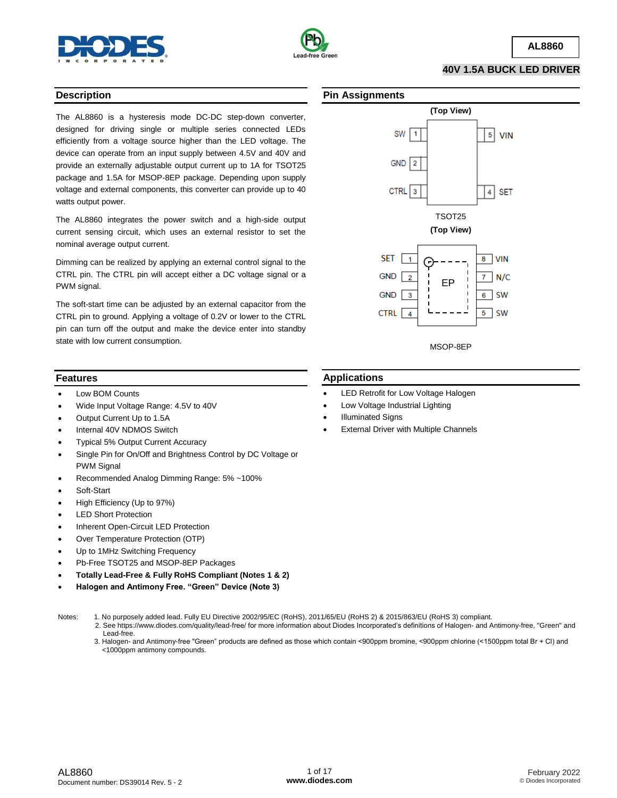



**40V 1.5A BUCK LED DRIVER**

#### **Description**

The AL8860 is a hysteresis mode DC-DC step-down converter, designed for driving single or multiple series connected LEDs efficiently from a voltage source higher than the LED voltage. The device can operate from an input supply between 4.5V and 40V and provide an externally adjustable output current up to 1A for TSOT25 package and 1.5A for MSOP-8EP package. Depending upon supply voltage and external components, this converter can provide up to 40 watts output power.

The AL8860 integrates the power switch and a high-side output current sensing circuit, which uses an external resistor to set the nominal average output current.

Dimming can be realized by applying an external control signal to the CTRL pin. The CTRL pin will accept either a DC voltage signal or a PWM signal.

The soft-start time can be adjusted by an external capacitor from the CTRL pin to ground. Applying a voltage of 0.2V or lower to the CTRL pin can turn off the output and make the device enter into standby state with low current consumption.

#### **Pin Assignments**

**Applications**

Illuminated Signs

 LED Retrofit for Low Voltage Halogen Low Voltage Industrial Lighting

External Driver with Multiple Channels



# **Features**

- Low BOM Counts
- Wide Input Voltage Range: 4.5V to 40V
- Output Current Up to 1.5A
- Internal 40V NDMOS Switch
- Typical 5% Output Current Accuracy
- Single Pin for On/Off and Brightness Control by DC Voltage or PWM Signal
- Recommended Analog Dimming Range: 5% ~100%
- Soft-Start
- High Efficiency (Up to 97%)
- LED Short Protection
- Inherent Open-Circuit LED Protection
- Over Temperature Protection (OTP)
- Up to 1MHz Switching Frequency
- Pb-Free TSOT25 and MSOP-8EP Packages
- **Totally Lead-Free & Fully RoHS Compliant (Notes 1 & 2)**
- **Halogen and Antimony Free. "Green" Device (Note 3)**

- Notes: 1. No purposely added lead. Fully EU Directive 2002/95/EC (RoHS), 2011/65/EU (RoHS 2) & 2015/863/EU (RoHS 3) compliant.
	- 2. See https://www.diodes.com/quality/lead-free/ for more information about Diodes Incorporated's definitions of Halogen- and Antimony-free, "Green" and Lead-free.
		- 3. Halogen- and Antimony-free "Green" products are defined as those which contain <900ppm bromine, <900ppm chlorine (<1500ppm total Br + Cl) and <1000ppm antimony compounds.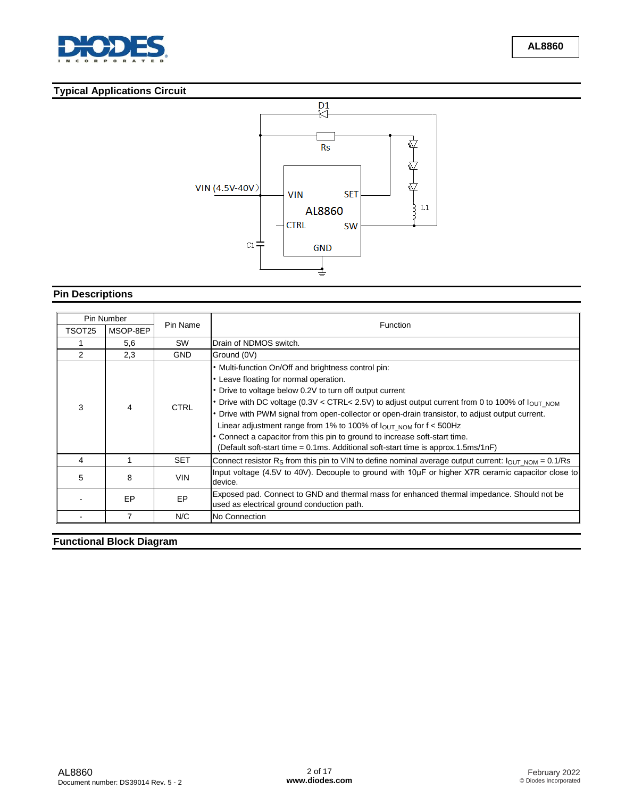

# **Typical Applications Circuit**



# **Pin Descriptions**

| Pin Number |          |             |                                                                                                                                                                                                                                                                                                                                                                                                                                                                                                                                                                                                                                       |  |
|------------|----------|-------------|---------------------------------------------------------------------------------------------------------------------------------------------------------------------------------------------------------------------------------------------------------------------------------------------------------------------------------------------------------------------------------------------------------------------------------------------------------------------------------------------------------------------------------------------------------------------------------------------------------------------------------------|--|
| TSOT25     | MSOP-8EP | Pin Name    | Function                                                                                                                                                                                                                                                                                                                                                                                                                                                                                                                                                                                                                              |  |
|            | 5,6      | SW          | Drain of NDMOS switch.                                                                                                                                                                                                                                                                                                                                                                                                                                                                                                                                                                                                                |  |
| 2          | 2,3      | <b>GND</b>  | Ground (0V)                                                                                                                                                                                                                                                                                                                                                                                                                                                                                                                                                                                                                           |  |
| 3          | 4        | <b>CTRL</b> | . Multi-function On/Off and brightness control pin:<br>• Leave floating for normal operation.<br>• Drive to voltage below 0.2V to turn off output current<br>• Drive with DC voltage (0.3V < CTRL< 2.5V) to adjust output current from 0 to 100% of $I_{\text{OUT NOM}}$<br>• Drive with PWM signal from open-collector or open-drain transistor, to adjust output current.<br>Linear adjustment range from 1% to 100% of $I_{\text{OUT NOM}}$ for $f < 500$ Hz<br>• Connect a capacitor from this pin to ground to increase soft-start time.<br>(Default soft-start time = $0.1$ ms. Additional soft-start time is approx.1.5ms/1nF) |  |
| 4          |          | <b>SET</b>  | Connect resistor R <sub>S</sub> from this pin to VIN to define nominal average output current: $I_{\text{OUT NOM}} = 0.1/Rs$                                                                                                                                                                                                                                                                                                                                                                                                                                                                                                          |  |
| 5          | 8        | <b>VIN</b>  | Input voltage (4.5V to 40V). Decouple to ground with 10µF or higher X7R ceramic capacitor close to<br>device.                                                                                                                                                                                                                                                                                                                                                                                                                                                                                                                         |  |
|            | EP       | EP          | Exposed pad. Connect to GND and thermal mass for enhanced thermal impedance. Should not be<br>used as electrical ground conduction path.                                                                                                                                                                                                                                                                                                                                                                                                                                                                                              |  |
|            | 7        | N/C         | No Connection                                                                                                                                                                                                                                                                                                                                                                                                                                                                                                                                                                                                                         |  |

# **Functional Block Diagram**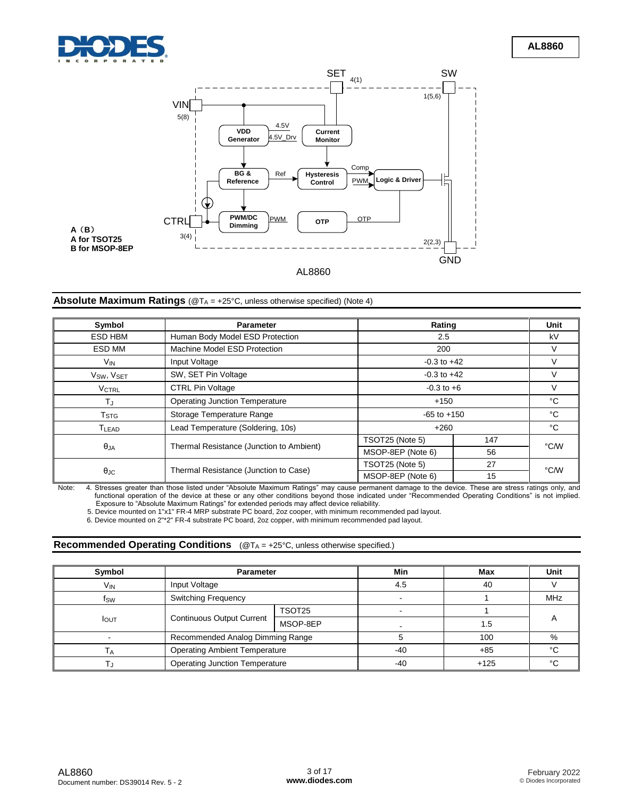



# AL8860

# **Absolute Maximum Ratings** (@T<sub>A</sub> = +25°C, unless otherwise specified) (Note 4)

| Symbol                             | <b>Parameter</b>                         |                   | Rating |      |  |
|------------------------------------|------------------------------------------|-------------------|--------|------|--|
| ESD HBM                            | Human Body Model ESD Protection          | 2.5               |        | kV   |  |
| ESD MM                             | Machine Model ESD Protection             | 200               |        | V    |  |
| V <sub>IN</sub>                    | Input Voltage                            | $-0.3$ to $+42$   |        |      |  |
| V <sub>SW</sub> , V <sub>SET</sub> | SW, SET Pin Voltage                      | $-0.3$ to $+42$   |        |      |  |
| <b>VCTRL</b>                       | <b>CTRL Pin Voltage</b>                  | $-0.3$ to $+6$    |        |      |  |
| ΤJ                                 | <b>Operating Junction Temperature</b>    | $+150$            |        | °C   |  |
| $\mathsf{T}_{\text{STG}}$          | Storage Temperature Range                | $-65$ to $+150$   |        | °C   |  |
| T <sub>LEAD</sub>                  | Lead Temperature (Soldering, 10s)        | $+260$            |        | °C   |  |
|                                    | Thermal Resistance (Junction to Ambient) | TSOT25 (Note 5)   | 147    | °C/W |  |
| $\theta$ JA                        |                                          | MSOP-8EP (Note 6) | 56     |      |  |
|                                    | Thermal Resistance (Junction to Case)    | TSOT25 (Note 5)   | 27     | °C/W |  |
| $\theta_{\rm JC}$                  |                                          | MSOP-8EP (Note 6) | 15     |      |  |

Note: 4. Stresses greater than those listed under "Absolute Maximum Ratings" may cause permanent damage to the device. These are stress ratings only, and<br>functional operation of the device at these or any other conditions

5. Device mounted on 1"x1" FR-4 MRP substrate PC board, 2oz cooper, with minimum recommended pad layout.

6. Device mounted on 2"\*2" FR-4 substrate PC board, 2oz copper, with minimum recommended pad layout.

#### **Recommended Operating Conditions** (@T<sub>A</sub> = +25°C, unless otherwise specified.)

| Symbol          |                                       | <b>Parameter</b>                     |       | Max    | Unit       |
|-----------------|---------------------------------------|--------------------------------------|-------|--------|------------|
| V <sub>IN</sub> | Input Voltage                         |                                      | 4.5   | 40     |            |
| fsw             | <b>Switching Frequency</b>            |                                      |       |        | <b>MHz</b> |
|                 | <b>Continuous Output Current</b>      | TSOT25                               | -     |        |            |
| <b>I</b> OUT    |                                       | MSOP-8EP                             |       | 1.5    |            |
|                 |                                       | Recommended Analog Dimming Range     |       | 100    | %          |
|                 |                                       | <b>Operating Ambient Temperature</b> |       | $+85$  | $\sim$     |
|                 | <b>Operating Junction Temperature</b> |                                      | $-40$ | $+125$ | $\sim$     |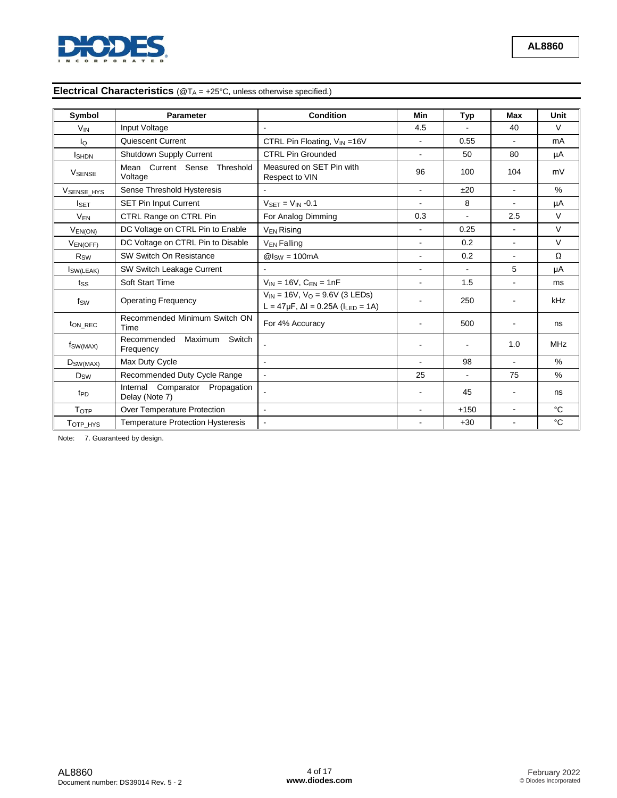

# **Electrical Characteristics** (@T<sub>A</sub> = +25°C, unless otherwise specified.)

| Symbol                 | Parameter                                            | <b>Condition</b>                                                                                | Min            | <b>Typ</b>     | <b>Max</b>               | Unit          |
|------------------------|------------------------------------------------------|-------------------------------------------------------------------------------------------------|----------------|----------------|--------------------------|---------------|
| <b>V<sub>IN</sub></b>  | Input Voltage                                        | $\overline{\phantom{a}}$                                                                        | 4.5            |                | 40                       | $\vee$        |
| lo                     | Quiescent Current                                    | CTRL Pin Floating, $V_{IN} = 16V$                                                               | $\mathbf{r}$   | 0.55           | $\mathbf{r}$             | mA            |
| <b>I</b> SHDN          | Shutdown Supply Current                              | <b>CTRL Pin Grounded</b>                                                                        | $\blacksquare$ | 50             | 80                       | μA            |
| <b>VSENSE</b>          | Mean Current Sense Threshold<br>Voltage              | Measured on SET Pin with<br>Respect to VIN                                                      | 96             | 100            | 104                      | mV            |
| <b>VSENSE HYS</b>      | Sense Threshold Hysteresis                           |                                                                                                 | $\overline{a}$ | ±20            | $\overline{\phantom{a}}$ | $\frac{9}{6}$ |
| $I_{\sf SET}$          | <b>SET Pin Input Current</b>                         | $V_{\text{SET}} = V_{\text{IN}} -0.1$                                                           | $\blacksquare$ | 8              | $\mathbf{r}$             | μA            |
| $V_{EN}$               | CTRL Range on CTRL Pin                               | For Analog Dimming                                                                              | 0.3            | $\blacksquare$ | 2.5                      | $\vee$        |
| $V_{EN(ON)}$           | DC Voltage on CTRL Pin to Enable                     | V <sub>FN</sub> Rising                                                                          | $\blacksquare$ | 0.25           | $\mathbf{r}$             | $\vee$        |
| <b>VEN(OFF)</b>        | DC Voltage on CTRL Pin to Disable                    | <b>V<sub>EN</sub></b> Falling                                                                   | $\blacksquare$ | 0.2            | $\mathbf{r}$             | $\vee$        |
| <b>R</b> <sub>sw</sub> | SW Switch On Resistance                              | $@$ <sub>sw</sub> = 100mA                                                                       | $\blacksquare$ | 0.2            | $\sim$                   | Ω             |
| <b>SW(LEAK)</b>        | SW Switch Leakage Current                            |                                                                                                 | ÷              |                | 5                        | μA            |
| tss                    | Soft Start Time                                      | $V_{IN} = 16V$ , $C_{EN} = 1nF$                                                                 | ÷              | 1.5            | $\mathbf{r}$             | ms            |
| fsw                    | <b>Operating Frequency</b>                           | $V_{IN}$ = 16V, $V_{O}$ = 9.6V (3 LEDs)<br>L = 47µF, $\Delta$ I = 0.25A (I <sub>LED</sub> = 1A) |                | 250            |                          | kHz           |
| t <sub>ON</sub> REC    | Recommended Minimum Switch ON<br>Time                | For 4% Accuracy                                                                                 |                | 500            |                          | ns            |
| $f_{SW(MAX)}$          | Maximum<br>Switch<br>Recommended<br>Frequency        |                                                                                                 |                |                | 1.0                      | <b>MHz</b>    |
| $D_{SW(MAX)}$          | Max Duty Cycle                                       | $\blacksquare$                                                                                  | ÷              | 98             | ÷.                       | $\%$          |
| $D_{SW}$               | Recommended Duty Cycle Range                         | $\blacksquare$                                                                                  | 25             | $\mathbf{r}$   | 75                       | $\%$          |
| t <sub>PD</sub>        | Comparator Propagation<br>Internal<br>Delay (Note 7) | $\blacksquare$                                                                                  |                | 45             | $\overline{a}$           | ns            |
| TOTP                   | Over Temperature Protection                          | $\blacksquare$                                                                                  | $\blacksquare$ | $+150$         |                          | °C            |
| TOTP_HYS               | <b>Temperature Protection Hysteresis</b>             | $\blacksquare$                                                                                  |                | $+30$          |                          | °C            |

Note: 7. Guaranteed by design.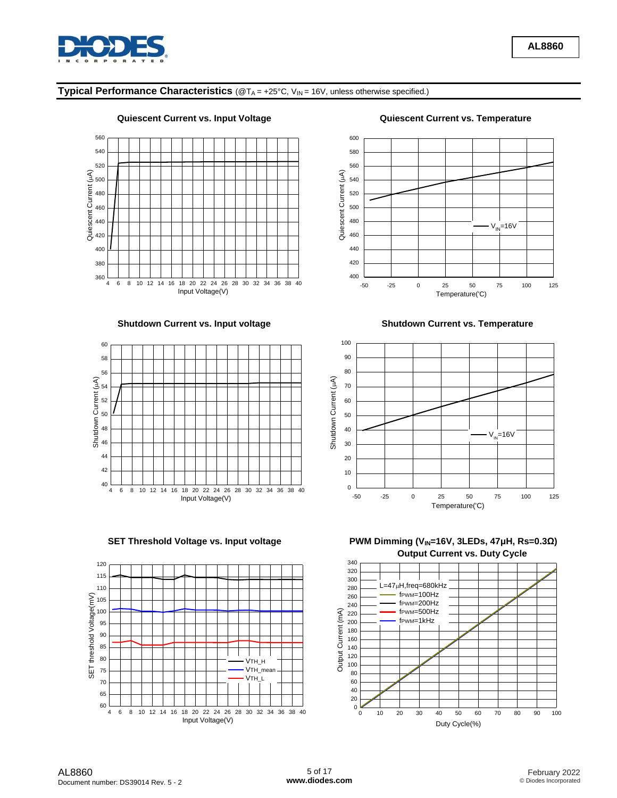

# **Typical Performance Characteristics** (@TA = +25°C, VIN = 16V, unless otherwise specified.)







**Quiescent Current vs. Input Voltage Quiescent Current vs. Temperature**



**Shutdown Current vs. Input voltage Shutdown Current vs. Temperature**  Shutdown Current vs. Temperature



**SET Threshold Voltage vs. Input voltage PWM Dimming (V<sub>IN</sub>=16V, 3LEDs, 47μH, Rs=0.3Ω) Output Current vs. Duty Cycle**

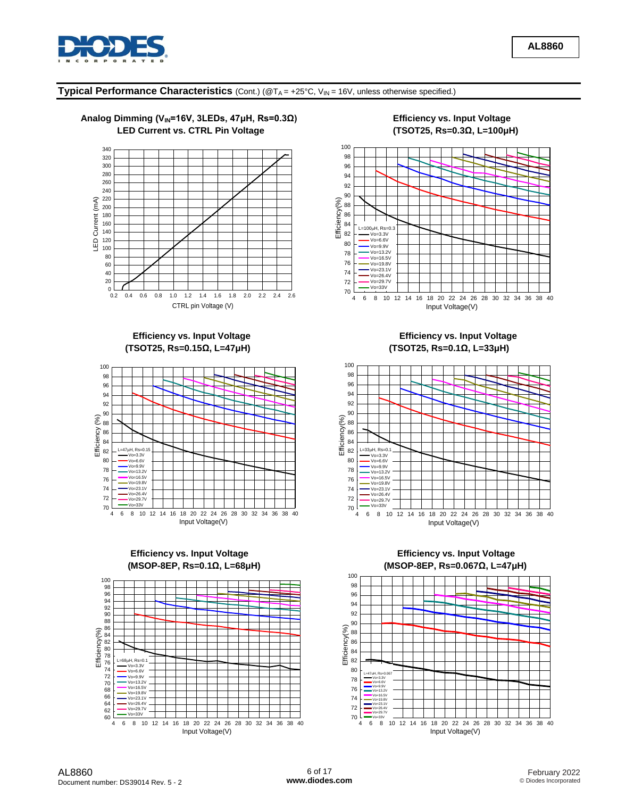

### **Typical Performance Characteristics** (Cont.) (@T<sub>A</sub> = +25°C, V<sub>IN</sub> = 16V, unless otherwise specified.)



# **(TSOT25, Rs=0.15Ω, L=47μH) (TSOT25, Rs=0.1Ω, L=33μH)**







**Efficiency vs. Input Voltage**  The **Efficiency vs. Input Voltage Efficiency vs. Input Voltage** 



# **Efficiency vs. Input Voltage Efficiency vs. Input Voltage (MSOP-8EP, Rs=0.1Ω, L=68μH) (MSOP-8EP, Rs=0.067Ω, L=47μH)**

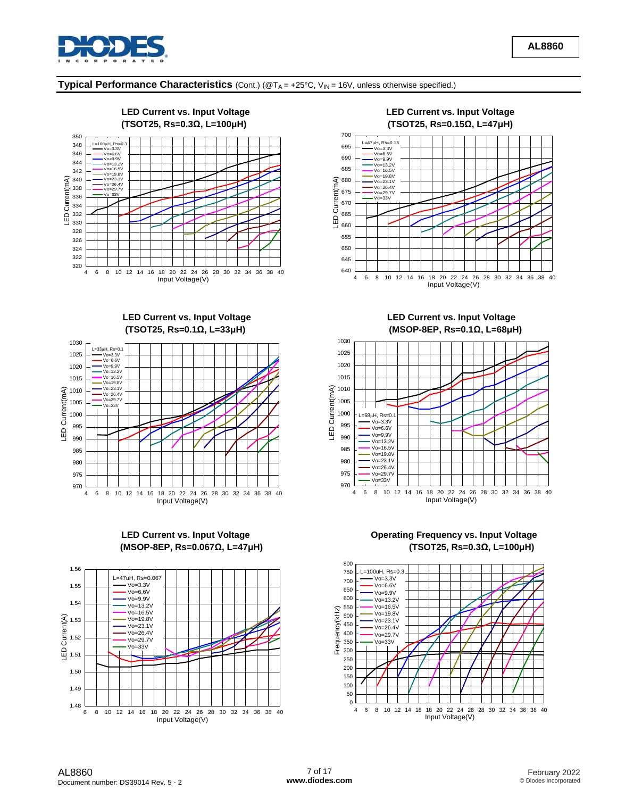

### **Typical Performance Characteristics** (Cont.) (@TA = +25°C, VIN = 16V, unless otherwise specified.)









 **LED Current vs. Input Voltage LED Current vs. Input Voltage (TSOT25, Rs=0.1Ω, L=33μH) (MSOP-8EP, Rs=0.1Ω, L=68μH)** 



LED Current vs. Input Voltage **Communist Contract Contract Contract Contract Contract Contract Contract Contract Contract Contract Contract Contract Contract Contract Contract Contract Contract Contract Contract Contract C (MSOP-8EP, Rs=0.067Ω, L=47μH) (TSOT25, Rs=0.3Ω, L=100μH)**

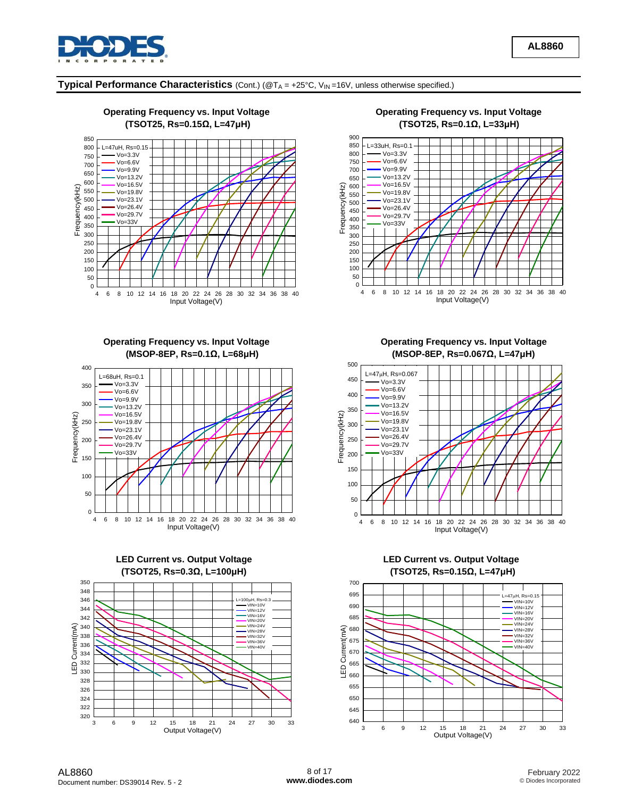

# **Typical Performance Characteristics** (Cont.) (@T<sup>A</sup> = +25°C, VIN =16V, unless otherwise specified.)



#### **(TSOT25, Rs=0.15Ω, L=47μH) (TSOT25, Rs=0.1Ω, L=33μH)** 0 <del>de de la casa de la casa d</del>e la casa de la casa de la casa de la casa de la casa de la casa de la casa de la c<br>10 de decembre 50 100 150 200 250 300  $\overline{\phantom{0}}$ 350  $\frac{10}{2}$  $400 + 400$  $450 + 450$ 500 **F** The volume 550 **F** The vo=  $\begin{array}{r|l}\n\hline\n\text{A} & 600 \\
\hline\n\text{A} & 5500 \\
\hline\n\text{A} & 0 & 0 & 0 & 0 \\
\hline\n\text{A} & 0 & 0 & 0 & 0 \\
\hline\n\text{A} & 0 & 0 & 0 & 0 & 0 \\
\hline\n\text{A} & 0 & 0 & 0 & 0 & 0 \\
\hline\n\text{A} & 0 & 0 & 0 & 0 & 0 \\
\hline\n\text{A} &$ 650 700 750 Vo=6.6V 800 Vo=3.3V 850 L=33uH, Rs=0.1 900  $V_0 = 9.9V$  Vo=13.2V Vo=16.5V Vo=19.8V Vo=23.1V Vo=26.4V Vo=29.7V<br>Vo=33V

**Operating Frequency vs. Input Voltage Community Constraints Constraing Frequency vs. Input Voltage Community Constraints Community Constraints Constraints Constraints Constraints Constraints Constraints Constraints Constr** 







 **(MSOP-8EP, Rs=0.1Ω, L=68μH) (MSOP-8EP, Rs=0.067Ω, L=47μH)**

Input Voltage(V)



 **(TSOT25, Rs=0.3Ω, L=100μH) (TSOT25, Rs=0.15Ω, L=47μH)**

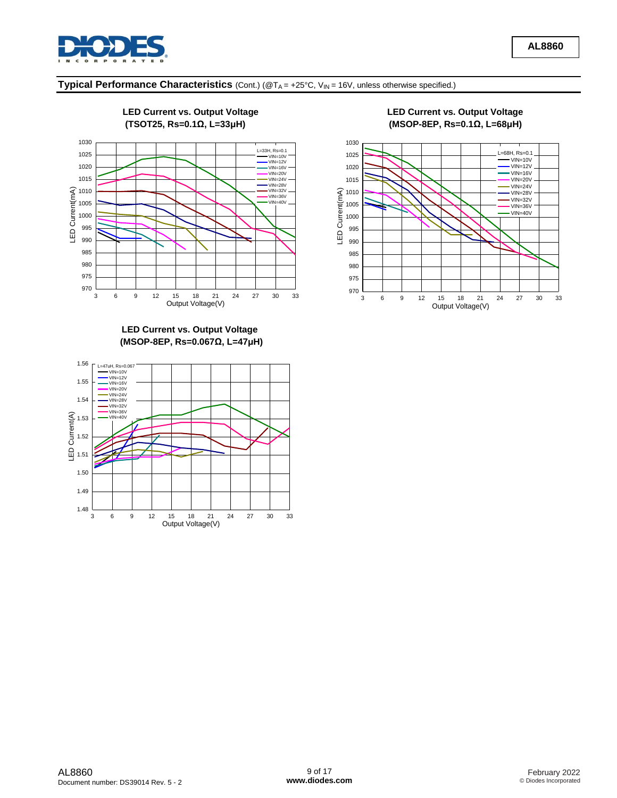



**LED Current vs. Output Voltage (MSOP-8EP, Rs=0.067Ω, L=47μH)** 



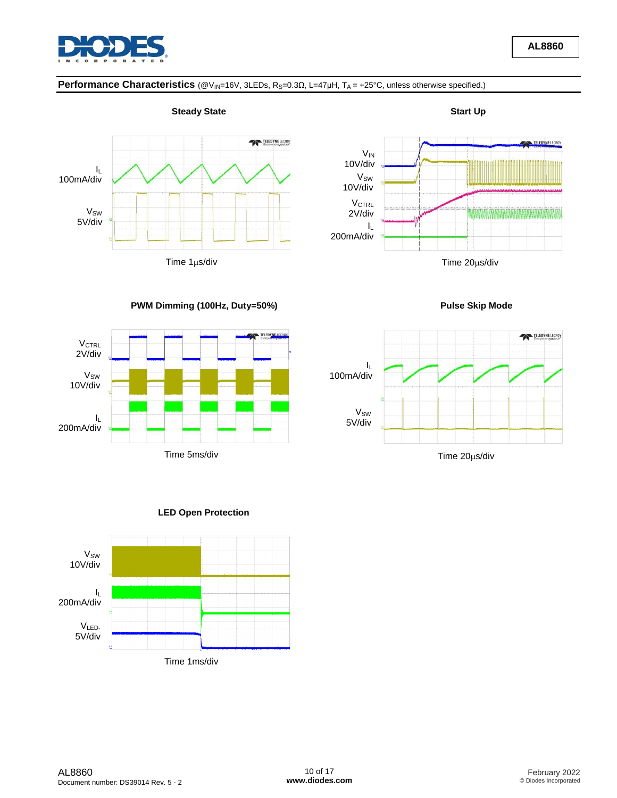

# **Performance Characteristics** (@V<sub>IN</sub>=16V, 3LEDs, R<sub>S</sub>=0.3Ω, L=47μH, T<sub>A</sub> = +25°C, unless otherwise specified.)





**PWM Dimming (100Hz, Duty=50%) Pulse Skip Mode**







**AL8860**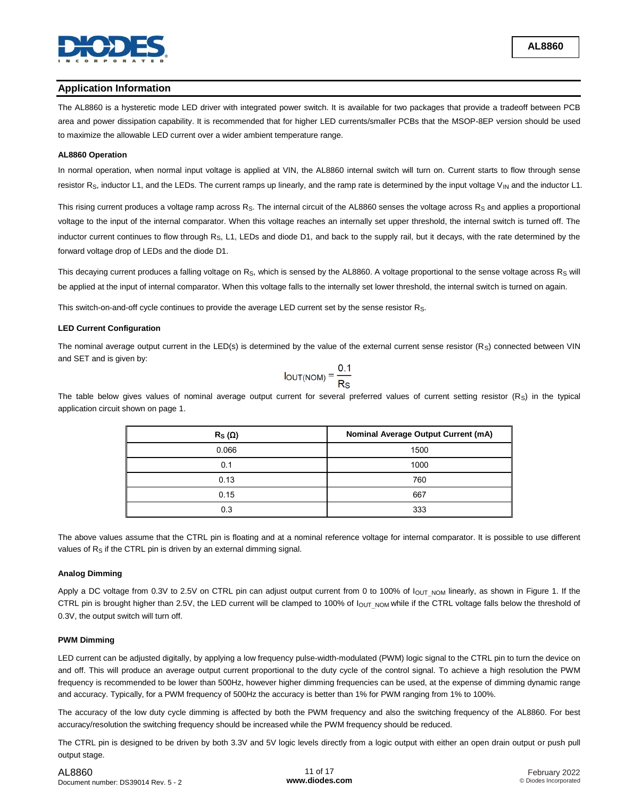

### **Application Information**

The AL8860 is a hysteretic mode LED driver with integrated power switch. It is available for two packages that provide a tradeoff between PCB area and power dissipation capability. It is recommended that for higher LED currents/smaller PCBs that the MSOP-8EP version should be used to maximize the allowable LED current over a wider ambient temperature range.

#### **AL8860 Operation**

In normal operation, when normal input voltage is applied at VIN, the AL8860 internal switch will turn on. Current starts to flow through sense resistor  $R_S$ , inductor L1, and the LEDs. The current ramps up linearly, and the ramp rate is determined by the input voltage  $V_{\text{IN}}$  and the inductor L1.

This rising current produces a voltage ramp across R<sub>S</sub>. The internal circuit of the AL8860 senses the voltage across R<sub>S</sub> and applies a proportional voltage to the input of the internal comparator. When this voltage reaches an internally set upper threshold, the internal switch is turned off. The inductor current continues to flow through R<sub>S</sub>, L1, LEDs and diode D1, and back to the supply rail, but it decays, with the rate determined by the forward voltage drop of LEDs and the diode D1.

This decaying current produces a falling voltage on Rs, which is sensed by the AL8860. A voltage proportional to the sense voltage across Rs will be applied at the input of internal comparator. When this voltage falls to the internally set lower threshold, the internal switch is turned on again.

This switch-on-and-off cycle continues to provide the average LED current set by the sense resistor R<sub>S</sub>.

#### **LED Current Configuration**

The nominal average output current in the LED(s) is determined by the value of the external current sense resistor (R<sub>S</sub>) connected between VIN and SET and is given by:

$$
I_{OUT(NOM)} = \frac{0.1}{Rs}
$$

The table below gives values of nominal average output current for several preferred values of current setting resistor  $(R<sub>S</sub>)$  in the typical application circuit shown on page 1.

| $R_S(\Omega)$ | <b>Nominal Average Output Current (mA)</b> |
|---------------|--------------------------------------------|
| 0.066         | 1500                                       |
| 0.1           | 1000                                       |
| 0.13          | 760                                        |
| 0.15          | 667                                        |
| 0.3           | 333                                        |

The above values assume that the CTRL pin is floating and at a nominal reference voltage for internal comparator. It is possible to use different values of R<sub>S</sub> if the CTRL pin is driven by an external dimming signal.

#### **Analog Dimming**

Apply a DC voltage from 0.3V to 2.5V on CTRL pin can adjust output current from 0 to 100% of l<sub>OUT NOM</sub> linearly, as shown in Figure 1. If the CTRL pin is brought higher than 2.5V, the LED current will be clamped to 100% of l<sub>OUT\_NOM</sub> while if the CTRL voltage falls below the threshold of 0.3V, the output switch will turn off.

#### **PWM Dimming**

LED current can be adjusted digitally, by applying a low frequency pulse-width-modulated (PWM) logic signal to the CTRL pin to turn the device on and off. This will produce an average output current proportional to the duty cycle of the control signal. To achieve a high resolution the PWM frequency is recommended to be lower than 500Hz, however higher dimming frequencies can be used, at the expense of dimming dynamic range and accuracy. Typically, for a PWM frequency of 500Hz the accuracy is better than 1% for PWM ranging from 1% to 100%.

The accuracy of the low duty cycle dimming is affected by both the PWM frequency and also the switching frequency of the AL8860. For best accuracy/resolution the switching frequency should be increased while the PWM frequency should be reduced.

The CTRL pin is designed to be driven by both 3.3V and 5V logic levels directly from a logic output with either an open drain output or push pull output stage.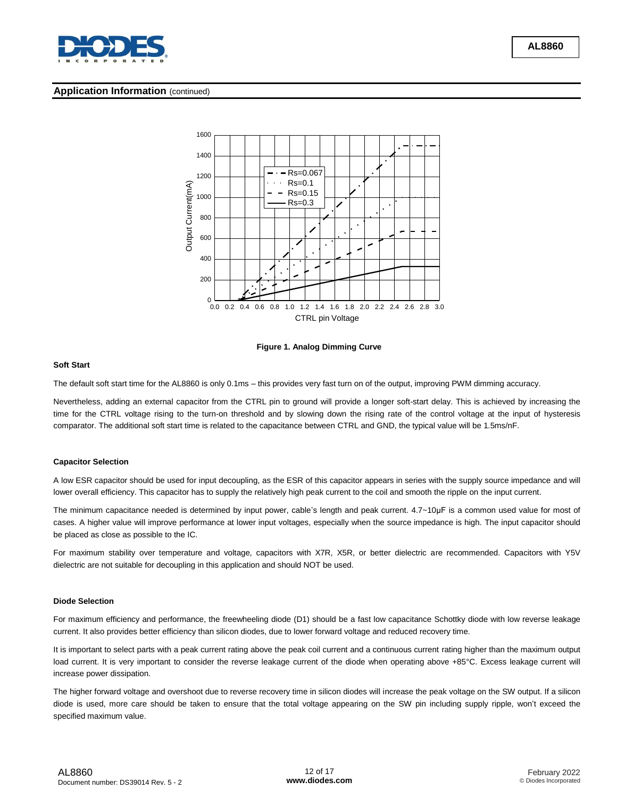

#### **Application Information** (continued)



**Figure 1. Analog Dimming Curve**

#### **Soft Start**

The default soft start time for the AL8860 is only 0.1ms – this provides very fast turn on of the output, improving PWM dimming accuracy.

Nevertheless, adding an external capacitor from the CTRL pin to ground will provide a longer soft-start delay. This is achieved by increasing the time for the CTRL voltage rising to the turn-on threshold and by slowing down the rising rate of the control voltage at the input of hysteresis comparator. The additional soft start time is related to the capacitance between CTRL and GND, the typical value will be 1.5ms/nF.

#### **Capacitor Selection**

A low ESR capacitor should be used for input decoupling, as the ESR of this capacitor appears in series with the supply source impedance and will lower overall efficiency. This capacitor has to supply the relatively high peak current to the coil and smooth the ripple on the input current.

The minimum capacitance needed is determined by input power, cable's length and peak current. 4.7~10μF is a common used value for most of cases. A higher value will improve performance at lower input voltages, especially when the source impedance is high. The input capacitor should be placed as close as possible to the IC.

For maximum stability over temperature and voltage, capacitors with X7R, X5R, or better dielectric are recommended. Capacitors with Y5V dielectric are not suitable for decoupling in this application and should NOT be used.

#### **Diode Selection**

For maximum efficiency and performance, the freewheeling diode (D1) should be a fast low capacitance Schottky diode with low reverse leakage current. It also provides better efficiency than silicon diodes, due to lower forward voltage and reduced recovery time.

It is important to select parts with a peak current rating above the peak coil current and a continuous current rating higher than the maximum output load current. It is very important to consider the reverse leakage current of the diode when operating above +85°C. Excess leakage current will increase power dissipation.

The higher forward voltage and overshoot due to reverse recovery time in silicon diodes will increase the peak voltage on the SW output. If a silicon diode is used, more care should be taken to ensure that the total voltage appearing on the SW pin including supply ripple, won't exceed the specified maximum value.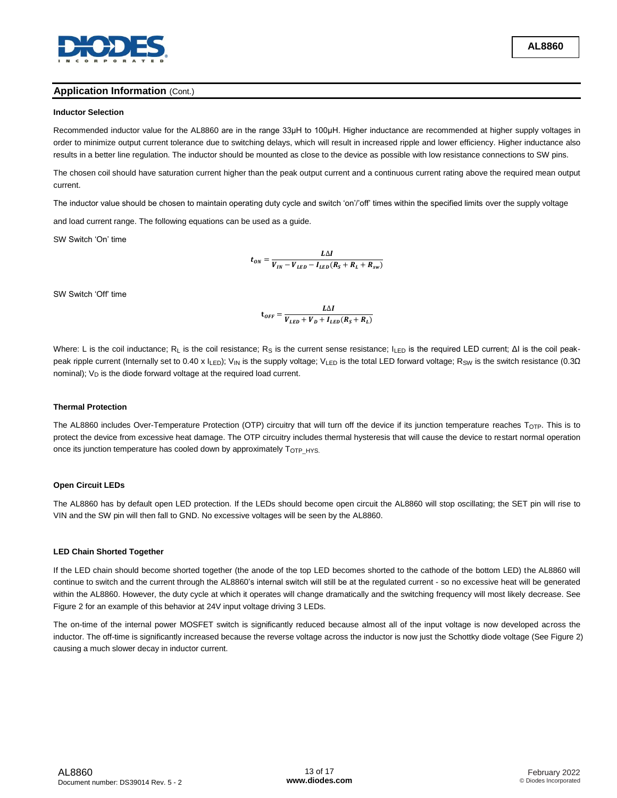

## **Application Information** (Cont.)

#### **Inductor Selection**

Recommended inductor value for the AL8860 are in the range 33μH to 100μH. Higher inductance are recommended at higher supply voltages in order to minimize output current tolerance due to switching delays, which will result in increased ripple and lower efficiency. Higher inductance also results in a better line regulation. The inductor should be mounted as close to the device as possible with low resistance connections to SW pins.

The chosen coil should have saturation current higher than the peak output current and a continuous current rating above the required mean output current.

The inductor value should be chosen to maintain operating duty cycle and switch 'on'/'off' times within the specified limits over the supply voltage

and load current range. The following equations can be used as a guide.

SW Switch 'On' time

$$
t_{ON} = \frac{L\Delta I}{V_{IN} - V_{LED} - I_{LED}(R_S + R_L + R_{sw})}
$$

SW Switch 'Off' time

$$
\mathbf{t}_{OFF} = \frac{L\Delta I}{V_{LED} + V_D + I_{LED}(R_S + R_L)}
$$

Where: L is the coil inductance; R<sub>L</sub> is the coil resistance; R<sub>S</sub> is the current sense resistance; I<sub>LED</sub> is the required LED current; ΔI is the coil peakpeak ripple current (Internally set to 0.40 x I<sub>LED</sub>); V<sub>IN</sub> is the supply voltage; V<sub>LED</sub> is the total LED forward voltage; R<sub>SW</sub> is the switch resistance (0.3Ω nominal);  $V_D$  is the diode forward voltage at the required load current.

#### **Thermal Protection**

The AL8860 includes Over-Temperature Protection (OTP) circuitry that will turn off the device if its junction temperature reaches  $T_{\text{OTP}}$ . This is to protect the device from excessive heat damage. The OTP circuitry includes thermal hysteresis that will cause the device to restart normal operation once its junction temperature has cooled down by approximately T<sub>OTP HYS.</sub>

#### **Open Circuit LEDs**

The AL8860 has by default open LED protection. If the LEDs should become open circuit the AL8860 will stop oscillating; the SET pin will rise to VIN and the SW pin will then fall to GND. No excessive voltages will be seen by the AL8860.

#### **LED Chain Shorted Together**

If the LED chain should become shorted together (the anode of the top LED becomes shorted to the cathode of the bottom LED) the AL8860 will continue to switch and the current through the AL8860's internal switch will still be at the regulated current - so no excessive heat will be generated within the AL8860. However, the duty cycle at which it operates will change dramatically and the switching frequency will most likely decrease. See Figure 2 for an example of this behavior at 24V input voltage driving 3 LEDs.

The on-time of the internal power MOSFET switch is significantly reduced because almost all of the input voltage is now developed across the inductor. The off-time is significantly increased because the reverse voltage across the inductor is now just the Schottky diode voltage (See Figure 2) causing a much slower decay in inductor current.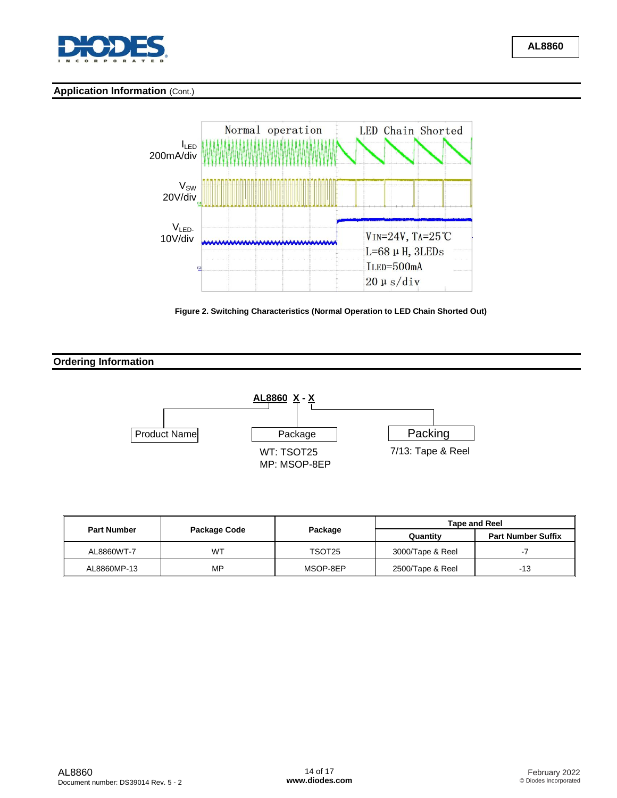

# **Application Information** (Cont.)



**Figure 2. Switching Characteristics (Normal Operation to LED Chain Shorted Out)**

# **Ordering Information**



|                    |              |          | <b>Tape and Reel</b> |                           |  |
|--------------------|--------------|----------|----------------------|---------------------------|--|
| <b>Part Number</b> | Package Code | Package  | Quantity             | <b>Part Number Suffix</b> |  |
| AL8860WT-7         | WT           | TSOT25   | 3000/Tape & Reel     |                           |  |
| AL8860MP-13        | MP           | MSOP-8EP | 2500/Tape & Reel     | -13                       |  |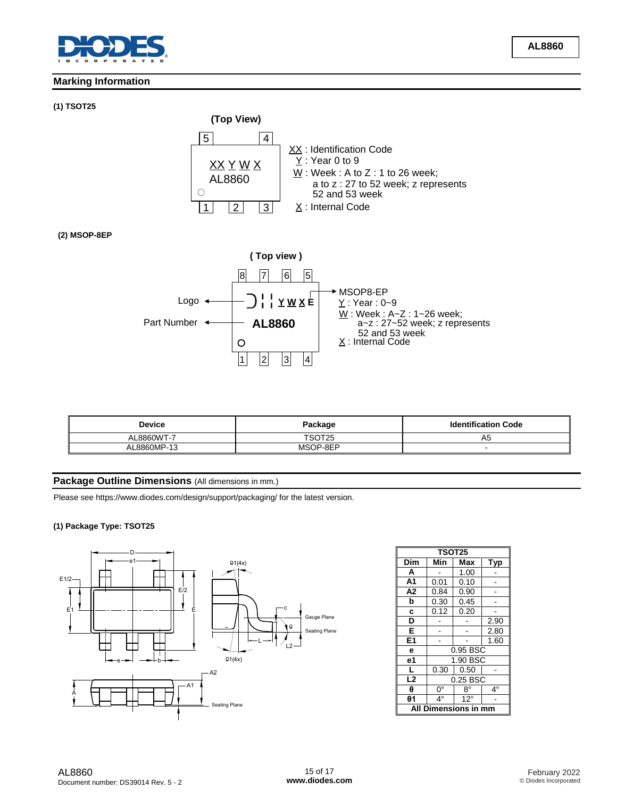

# **Marking Information**

#### **(1) TSOT25**



# **(2) MSOP-8EP**



| <b>Device</b> | Package  | <b>Identification Code</b> |  |
|---------------|----------|----------------------------|--|
| 8860WT-7      | TSOT25   | A5                         |  |
| 8860MP-13     | MSOP-8EP |                            |  |

# **Package Outline Dimensions** (All dimensions in mm.)

Please see https://www.diodes.com/design/support/packaging/ for the latest version.

#### **(1) Package Type: TSOT25**



|                         | <b>TSOT25</b> |              |      |  |  |  |
|-------------------------|---------------|--------------|------|--|--|--|
| Dim                     | Min           | Max          | Typ  |  |  |  |
| A                       | 1.00          |              |      |  |  |  |
| A <sub>1</sub>          | 0.01          | 0.10         |      |  |  |  |
| A <sub>2</sub>          | 0.84          | 0.90         |      |  |  |  |
| b                       | 0.30          | 0.45         |      |  |  |  |
| C                       | 0.12          | 0.20         |      |  |  |  |
| D                       |               |              | 2.90 |  |  |  |
| Е                       |               |              | 2.80 |  |  |  |
| E <sub>1</sub>          |               |              | 1.60 |  |  |  |
| e                       |               | 0.95 BSC     |      |  |  |  |
| e1                      |               | 1.90 BSC     |      |  |  |  |
| г                       | 0.30          | 0.50         |      |  |  |  |
| L2                      | 0.25 BSC      |              |      |  |  |  |
| θ                       | $0^{\circ}$   | $8^{\circ}$  | 4°   |  |  |  |
| $\theta$ 1              | $4^\circ$     | $12^{\circ}$ |      |  |  |  |
| Dimensions in mm<br>Αll |               |              |      |  |  |  |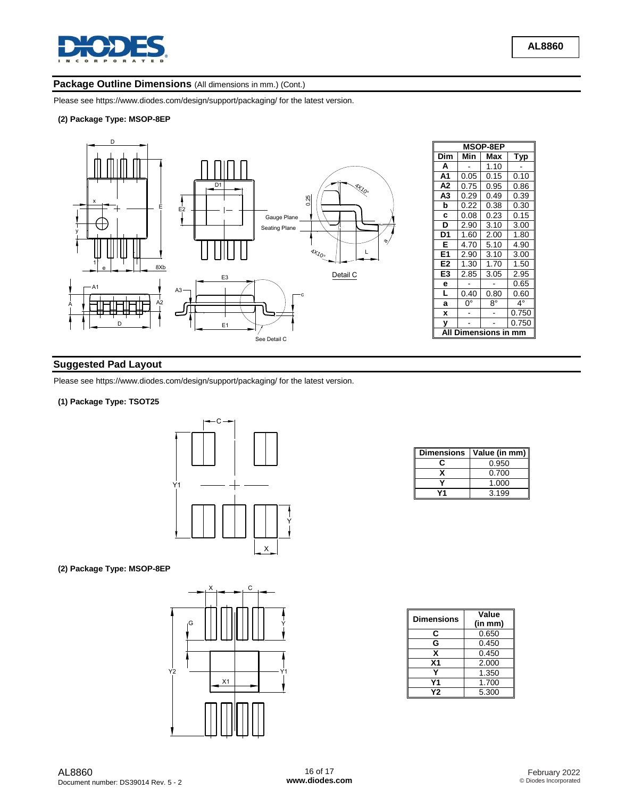

# Package Outline Dimensions (All dimensions in mm.) (Cont.)

Please see https://www.diodes.com/design/support/packaging/ for the latest version.

#### **(2) Package Type: MSOP-8EP**



# **Suggested Pad Layout**

Please see https://www.diodes.com/design/support/packaging/ for the latest version.

#### **(1) Package Type: TSOT25**



#### **(2) Package Type: MSOP-8EP**



| <b>Dimensions</b> | Value (in mm) |
|-------------------|---------------|
|                   | 0.950         |
|                   | 0.700         |
|                   | 1.000         |
|                   | 3.199         |

| <b>Dimensions</b> | Value<br>(in mm) |
|-------------------|------------------|
| C                 | 0.650            |
| G                 | 0.450            |
| x                 | 0.450            |
| X <sub>1</sub>    | 2.000            |
|                   | 1.350            |
| Υ1                | 1.700            |
| Υ2                | 5.300            |